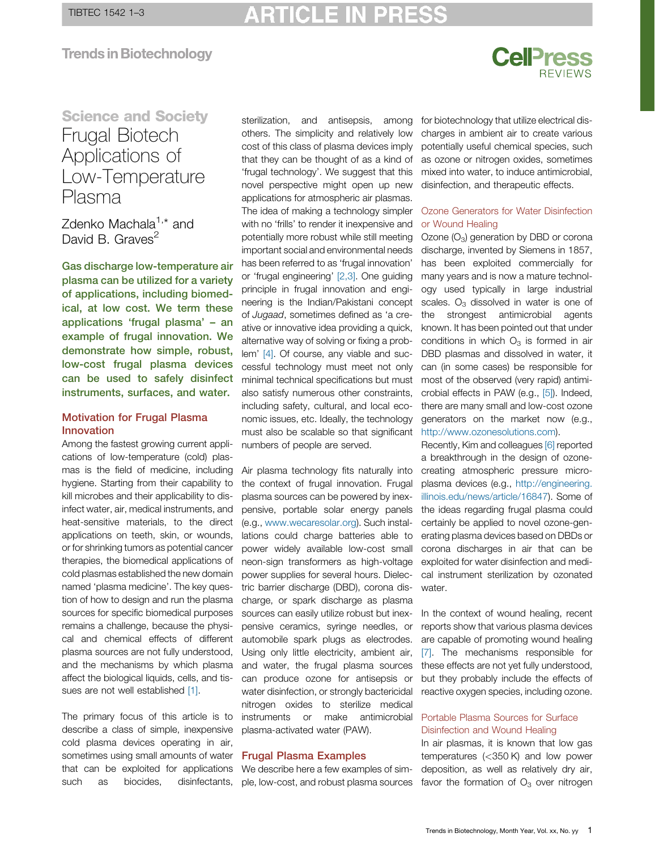## **ARTICLE IN PRE**

**Trends in Biotechnology** 

# **CellPress**

## Science and Society Frugal Biotech Low-Temperature Plasma

zdenko Machala<sup>[1,\\*](#page-2-0)</sup> and David B. Graves<sup>[2](#page-2-0)</sup>

Gas discharge low-temperature air plasma can be utilized for a variety of applications, including biomedical, at low cost. We term these applications 'frugal plasma' – an example of frugal innovation. We demonstrate how simple, robust, low-cost frugal plasma devices can be used to safely disinfect instruments, surfaces, and water.

#### Motivation for Frugal Plasma Innovation

Among the fastest growing current applications of low-temperature (cold) plasmas is the field of medicine, including hygiene. Starting from their capability to kill microbes and their applicability to disinfect water, air, medical instruments, and heat-sensitive materials, to the direct applications on teeth, skin, or wounds, or for shrinking tumors as potential cancer therapies, the biomedical applications of cold plasmas established the new domain named 'plasma medicine'. The key question of how to design and run the plasma sources for specific biomedical purposes remains a challenge, because the physical and chemical effects of different plasma sources are not fully understood, and the mechanisms by which plasma affect the biological liquids, cells, and tis-sues are not well established [\[1\]](#page-2-0).

The primary focus of this article is to describe a class of simple, inexpensive cold plasma devices operating in air, sometimes using small amounts of water that can be exploited for applications such as biocides, disinfectants,

sterilization, and antisepsis, among others. The simplicity and relatively low cost of this class of plasma devices imply that they can be thought of as a kind of 'frugal technology'. We suggest that this novel perspective might open up new applications for atmospheric air plasmas. The idea of making a technology simpler with no 'frills' to render it inexpensive and potentially more robust while still meeting important social and environmental needs has been referred to as 'frugal innovation' or 'frugal engineering' [\[2,3\]](#page-2-0). One guiding principle in frugal innovation and engineering is the Indian/Pakistani concept of Jugaad, sometimes defined as 'a creative or innovative idea providing a quick, alternative way of solving or fixing a problem' [\[4\].](#page-2-0) Of course, any viable and successful technology must meet not only minimal technical specifications but must also satisfy numerous other constraints, including safety, cultural, and local economic issues, etc. Ideally, the technology must also be scalable so that significant numbers of people are served.

Air plasma technology fits naturally into the context of frugal innovation. Frugal plasma sources can be powered by inexpensive, portable solar energy panels (e.g., [www.wecaresolar.org](http://www.wecaresolar.org)). Such installations could charge batteries able to power widely available low-cost small neon-sign transformers as high-voltage power supplies for several hours. Dielectric barrier discharge (DBD), corona discharge, or spark discharge as plasma sources can easily utilize robust but inexpensive ceramics, syringe needles, or automobile spark plugs as electrodes. Using only little electricity, ambient air, and water, the frugal plasma sources can produce ozone for antisepsis or water disinfection, or strongly bactericidal nitrogen oxides to sterilize medical instruments or make antimicrobial plasma-activated water (PAW).

#### Frugal Plasma Examples

We describe here a few examples of simple, low-cost, and robust plasma sources for biotechnology that utilize electrical discharges in ambient air to create various potentially useful chemical species, such as ozone or nitrogen oxides, sometimes mixed into water, to induce antimicrobial, disinfection, and therapeutic effects.

#### Ozone Generators for Water Disinfection or Wound Healing

Ozone  $(O_3)$  generation by DBD or corona discharge, invented by Siemens in 1857, has been exploited commercially for many years and is now a mature technology used typically in large industrial scales.  $O_3$  dissolved in water is one of the strongest antimicrobial agents known. It has been pointed out that under conditions in which  $O_3$  is formed in air DBD plasmas and dissolved in water, it can (in some cases) be responsible for most of the observed (very rapid) antimicrobial effects in PAW (e.g., [\[5\]](#page-2-0)). Indeed, there are many small and low-cost ozone generators on the market now (e.g., [http://www.ozonesolutions.com\)](http://www.ozonesolutions.com).

Recently, Kim and colleagues [\[6\]](#page-2-0) reported a breakthrough in the design of ozonecreating atmospheric pressure microplasma devices (e.g., [http://engineering.](http://engineering.illinois.edu/news/article/16847) [illinois.edu/news/article/16847\)](http://engineering.illinois.edu/news/article/16847). Some of the ideas regarding frugal plasma could certainly be applied to novel ozone-generating plasma devices based on DBDs or corona discharges in air that can be exploited for water disinfection and medical instrument sterilization by ozonated water.

In the context of wound healing, recent reports show that various plasma devices are capable of promoting wound healing [\[7\].](#page-2-0) The mechanisms responsible for these effects are not yet fully understood, but they probably include the effects of reactive oxygen species, including ozone.

#### Portable Plasma Sources for Surface Disinfection and Wound Healing

In air plasmas, it is known that low gas temperatures (<350 K) and low power deposition, as well as relatively dry air, favor the formation of  $O_3$  over nitrogen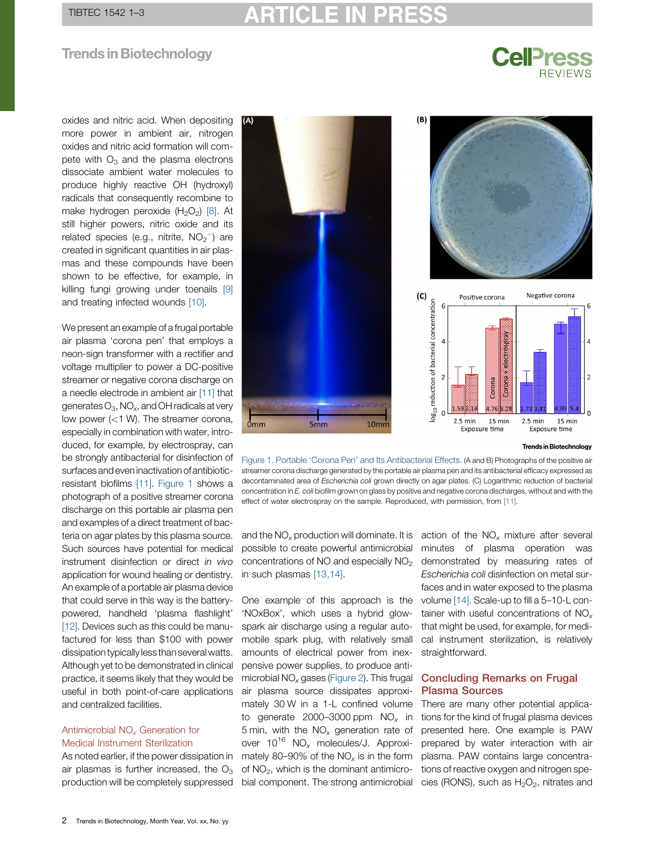### **Trends in Biotechnology**

#### oxides and nitric acid. When depositing more power in ambient air, nitrogen oxides and nitric acid formation will compete with  $O_3$  and the plasma electrons dissociate ambient water molecules to produce highly reactive OH (hydroxyl) radicals that consequently recombine to make hydrogen peroxide  $(H_2O_2)$  [\[8\].](#page-2-0) At still higher powers, nitric oxide and its related species (e.g., nitrite,  $NO<sub>2</sub>$ ) are created in significant quantities in air plasmas and these compounds have been shown to be effective, for example, in killing fungi growing under toenails [\[9\]](#page-2-0) and treating infected wounds [\[10\]](#page-2-0).

We present an example of a frugal portable air plasma 'corona pen' that employs a neon-sign transformer with a rectifier and voltage multiplier to power a DC-positive streamer or negative corona discharge on a needle electrode in ambient air [\[11\]](#page-2-0) that generates  $O_3$ , NO<sub>x</sub>, and OH radicals at very low power (<1 W). The streamer corona, especially in combination with water, introduced, for example, by electrospray, can be strongly antibacterial for disinfection of surfaces and even inactivation of antibioticresistant biofilms [\[11\]](#page-2-0). Figure 1 shows a photograph of a positive streamer corona discharge on this portable air plasma pen and examples of a direct treatment of bacteria on agar plates by this plasma source. Such sources have potential for medical instrument disinfection or direct in vivo application for wound healing or dentistry. An example of a portable air plasma device that could serve in this way is the batterypowered, handheld 'plasma flashlight' [\[12\]](#page-2-0). Devices such as this could be manufactured for less than \$100 with power dissipationtypically lessthan several watts. Although yet to be demonstrated in clinical practice, it seems likely that they would be useful in both point-of-care applications and centralized facilities.

#### Antimicrobial NO<sub>x</sub> Generation for Medical Instrument Sterilization

As noted earlier, if the power dissipation in air plasmas is further increased, the  $O_3$ production will be completely suppressed





**CellPress** 



 $2.5$  min

15 min

Exposure time

 $2.5$  min

15 min

Exposure time **Trends in Biotechnology** 

possible to create powerful antimicrobial concentrations of NO and especially NO2 in such plasmas [\[13,14\].](#page-2-0)

One example of this approach is the 'NOxBox', which uses a hybrid glowspark air discharge using a regular automobile spark plug, with relatively small amounts of electrical power from inexpensive power supplies, to produce antimicrobial  $NO<sub>x</sub>$  gases [\(Figure 2\)](#page-2-0). This frugal air plasma source dissipates approximately 30 W in a 1-L confined volume to generate  $2000-3000$  ppm  $NO_x$  in 5 min, with the  $NO<sub>x</sub>$  generation rate of over  $10^{16}$  NO<sub>x</sub> molecules/J. Approximately 80–90% of the  $NO<sub>x</sub>$  is in the form of  $NO<sub>2</sub>$ , which is the dominant antimicrobial component. The strong antimicrobial

and the NO<sub>x</sub> production will dominate. It is action of the NO<sub>x</sub> mixture after several minutes of plasma operation was demonstrated by measuring rates of Escherichia coli disinfection on metal surfaces and in water exposed to the plasma volume [\[14\]](#page-2-0). Scale-up to fill a 5–10-L container with useful concentrations of  $NO<sub>x</sub>$ that might be used, for example, for medical instrument sterilization, is relatively straightforward.

#### Concluding Remarks on Frugal Plasma Sources

There are many other potential applications for the kind of frugal plasma devices presented here. One example is PAW prepared by water interaction with air plasma. PAW contains large concentrations of reactive oxygen and nitrogen species (RONS), such as  $H<sub>2</sub>O<sub>2</sub>$ , nitrates and